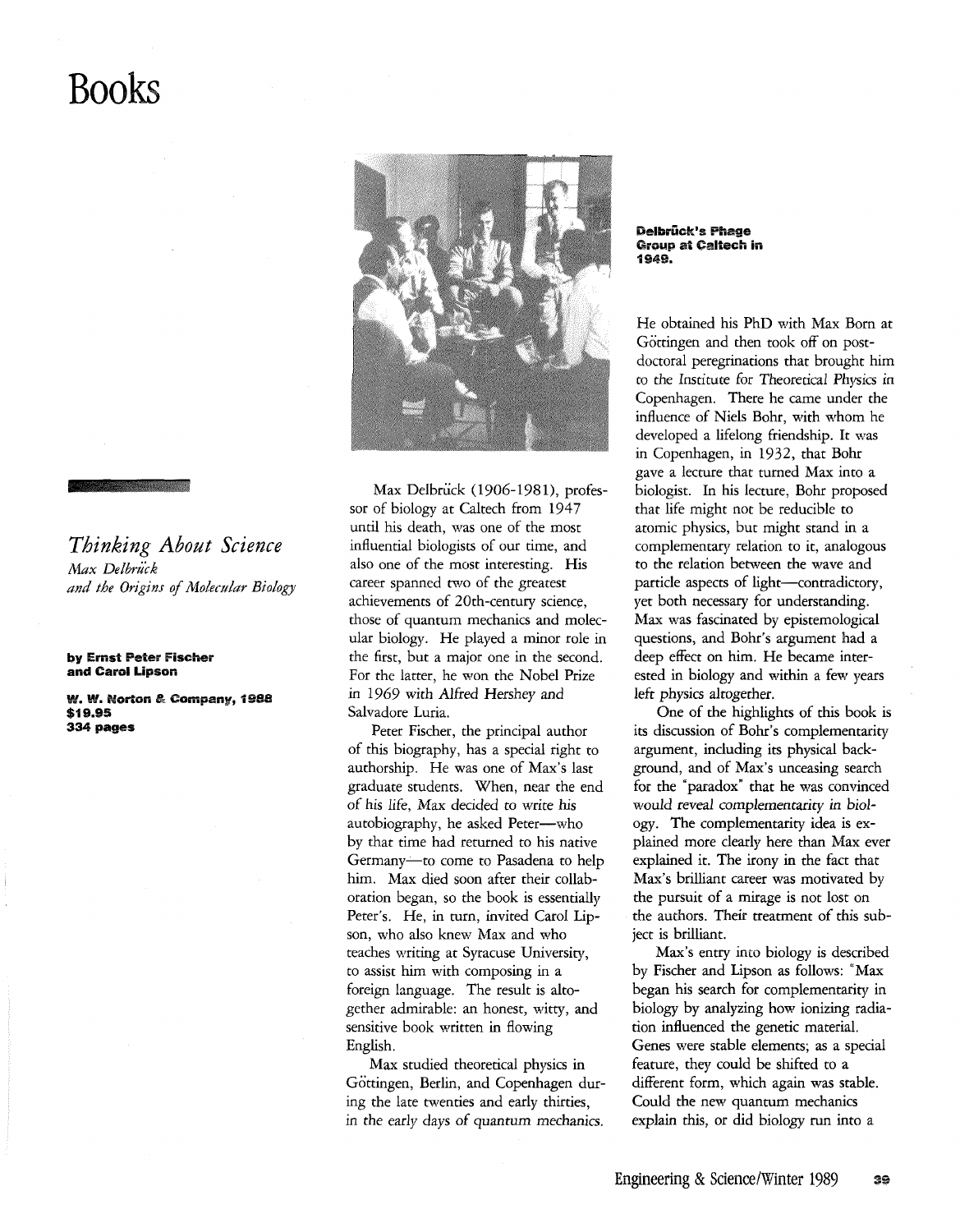## **Books**



by Ernst Peter Fischer and Carol Lipson

W. W. Norton & Company, 1988 \$19.95 334 pages



Max Delbrück (1906-1981), professor of biology at Caltech from 1947 until his death, was one of the most influential biologists of our time, and also one of the most interesting. His career spanned two of the greatest achievements of 20th-century science, those of quantum mechanics and molecular biology. He played a minor role in the first, but a major one in the second. For the latter, he won the Nobel Prize in 1969 with Alfred Hershey and Salvadore Luria.

Peter Fischer, the principal author of this biography, has a special right to authorship. He was one of Max's last graduate students. When, near the end of his *life,* Max decided to write *his*  autobiography, he asked Peter--who by that time had returned to his native Germany-to come to Pasadena to help him. Max died soon after their collaboration began, so the book is essentially Peter's. He, in tum, invited Carol Lipson, who also knew Max and who teaches writing at Syracuse University, to assist him with composing in a foreign language. The result is altogether admirable: an honest, witty, and sensitive book written in flowing English.

Max studied theoretical physics in Göttingen, Berlin, and Copenhagen during the late twenties and early thirties, in the early days of quantum mechanics.

Delbrück's Phage Group at Caltech **in**  1949.

He obtained his PhD with Max Born at Göttingen and then took off on postdoctoral peregrinations that brought him to the Institute for Theoretical Physics in Copenhagen. There he came under the influence of Niels Bohr, with whom he developed a lifelong friendship. It was in Copenhagen, in 1932, that Bohr gave a lecture that turned Max into a biologist. In his lecture, Bohr proposed that life might not be reducible to atomic physics, but might stand in a complementary relation to it, analogous to the relation between the wave and particle aspects of light-contradictory, yet both necessary for understanding. Max was fascinated by epistemological questions, and Bohr's argument had a deep effect on him. He became interested in biology and within a few years left physics altogether.

One of the highlights of this book is its discussion of Bohr's complementarity argument, including its physical background, and of Max's unceasing search for the "paradox' that he was convinced *would reveal complementariry in* biology. The complementarity idea is explained more clearly here than Max ever explained it. The irony in the fact that Max's brilliant career was motivated by the pursuit of a mirage is not lost on the authors. Their tteatment of this subject is brilliant.

Max's entry into biology is described by Fischer and Lipson as follows: "Max began his search for complementarity in biology by analyzing how ionizing radiation influenced the genetic material. Genes were stable elements; as a special feature, they could be shifted to a different form, which again was stable. Could the new quantum mechanics explain this, or did biology run into a